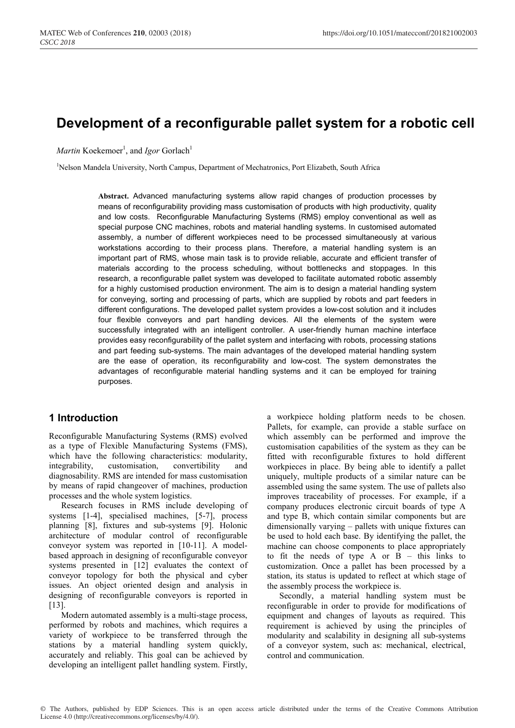# **Development of a reconfigurable pallet system for a robotic cell**

*Martin* Koekemoer<sup>1</sup>, and *Igor* Gorlach<sup>1</sup>

<sup>1</sup>Nelson Mandela University, North Campus, Department of Mechatronics, Port Elizabeth, South Africa

**Abstract.** Advanced manufacturing systems allow rapid changes of production processes by means of reconfigurability providing mass customisation of products with high productivity, quality and low costs. Reconfigurable Manufacturing Systems (RMS) employ conventional as well as special purpose CNC machines, robots and material handling systems. In customised automated assembly, a number of different workpieces need to be processed simultaneously at various workstations according to their process plans. Therefore, a material handling system is an important part of RMS, whose main task is to provide reliable, accurate and efficient transfer of materials according to the process scheduling, without bottlenecks and stoppages. In this research, a reconfigurable pallet system was developed to facilitate automated robotic assembly for a highly customised production environment. The aim is to design a material handling system for conveying, sorting and processing of parts, which are supplied by robots and part feeders in different configurations. The developed pallet system provides a low-cost solution and it includes four flexible conveyors and part handling devices. All the elements of the system were successfully integrated with an intelligent controller. A user-friendly human machine interface provides easy reconfigurability of the pallet system and interfacing with robots, processing stations and part feeding sub-systems. The main advantages of the developed material handling system are the ease of operation, its reconfigurability and low-cost. The system demonstrates the advantages of reconfigurable material handling systems and it can be employed for training purposes.

### **1 Introduction**

Reconfigurable Manufacturing Systems (RMS) evolved as a type of Flexible Manufacturing Systems (FMS), which have the following characteristics: modularity, integrability, customisation, convertibility and diagnosability. RMS are intended for mass customisation by means of rapid changeover of machines, production processes and the whole system logistics.

Research focuses in RMS include developing of systems [1-4], specialised machines, [5-7], process planning [8], fixtures and sub-systems [9]. Holonic architecture of modular control of reconfigurable conveyor system was reported in [10-11]. A modelbased approach in designing of reconfigurable conveyor systems presented in [12] evaluates the context of conveyor topology for both the physical and cyber issues. An object oriented design and analysis in designing of reconfigurable conveyors is reported in  $[13]$ .

Modern automated assembly is a multi-stage process, performed by robots and machines, which requires a variety of workpiece to be transferred through the stations by a material handling system quickly, accurately and reliably. This goal can be achieved by developing an intelligent pallet handling system. Firstly,

a workpiece holding platform needs to be chosen. Pallets, for example, can provide a stable surface on which assembly can be performed and improve the customisation capabilities of the system as they can be fitted with reconfigurable fixtures to hold different workpieces in place. By being able to identify a pallet uniquely, multiple products of a similar nature can be assembled using the same system. The use of pallets also improves traceability of processes. For example, if a company produces electronic circuit boards of type A and type B, which contain similar components but are dimensionally varying – pallets with unique fixtures can be used to hold each base. By identifying the pallet, the machine can choose components to place appropriately to fit the needs of type A or B – this links to customization. Once a pallet has been processed by a station, its status is updated to reflect at which stage of the assembly process the workpiece is.

Secondly, a material handling system must be reconfigurable in order to provide for modifications of equipment and changes of layouts as required. This requirement is achieved by using the principles of modularity and scalability in designing all sub-systems of a conveyor system, such as: mechanical, electrical, control and communication.

© The Authors, published by EDP Sciences. This is an open access article distributed under the terms of the Creative Commons Attribution License 4.0 (http://creativecommons.org/licenses/by/4.0/).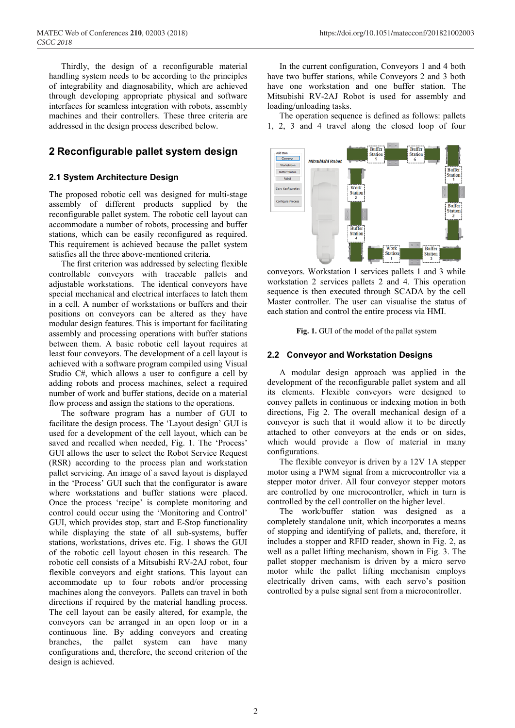Thirdly, the design of a reconfigurable material handling system needs to be according to the principles of integrability and diagnosability, which are achieved through developing appropriate physical and software interfaces for seamless integration with robots, assembly machines and their controllers. These three criteria are addressed in the design process described below.

### **2 Reconfigurable pallet system design**

### **2.1 System Architecture Design**

The proposed robotic cell was designed for multi-stage assembly of different products supplied by the reconfigurable pallet system. The robotic cell layout can accommodate a number of robots, processing and buffer stations, which can be easily reconfigured as required. This requirement is achieved because the pallet system satisfies all the three above-mentioned criteria.

The first criterion was addressed by selecting flexible controllable conveyors with traceable pallets and adjustable workstations. The identical conveyors have special mechanical and electrical interfaces to latch them in a cell. A number of workstations or buffers and their positions on conveyors can be altered as they have modular design features. This is important for facilitating assembly and processing operations with buffer stations between them. A basic robotic cell layout requires at least four conveyors. The development of a cell layout is achieved with a software program compiled using Visual Studio C#, which allows a user to configure a cell by adding robots and process machines, select a required number of work and buffer stations, decide on a material flow process and assign the stations to the operations.

The software program has a number of GUI to facilitate the design process. The 'Layout design' GUI is used for a development of the cell layout, which can be saved and recalled when needed, Fig. 1. The 'Process' GUI allows the user to select the Robot Service Request (RSR) according to the process plan and workstation pallet servicing. An image of a saved layout is displayed in the 'Process' GUI such that the configurator is aware where workstations and buffer stations were placed. Once the process 'recipe' is complete monitoring and control could occur using the 'Monitoring and Control' GUI, which provides stop, start and E-Stop functionality while displaying the state of all sub-systems, buffer stations, workstations, drives etc. Fig. 1 shows the GUI of the robotic cell layout chosen in this research. The robotic cell consists of a Mitsubishi RV-2AJ robot, four flexible conveyors and eight stations. This layout can accommodate up to four robots and/or processing machines along the conveyors. Pallets can travel in both directions if required by the material handling process. The cell layout can be easily altered, for example, the conveyors can be arranged in an open loop or in a continuous line. By adding conveyors and creating branches, the pallet system can have many configurations and, therefore, the second criterion of the design is achieved.

In the current configuration, Conveyors 1 and 4 both have two buffer stations, while Conveyors 2 and 3 both have one workstation and one buffer station. The Mitsubishi RV-2AJ Robot is used for assembly and loading/unloading tasks.

The operation sequence is defined as follows: pallets 1, 2, 3 and 4 travel along the closed loop of four



conveyors. Workstation 1 services pallets 1 and 3 while workstation 2 services pallets 2 and 4. This operation sequence is then executed through SCADA by the cell Master controller. The user can visualise the status of each station and control the entire process via HMI.

**Fig. 1.** GUI of the model of the pallet system

#### **2.2 Conveyor and Workstation Designs**

A modular design approach was applied in the development of the reconfigurable pallet system and all its elements. Flexible conveyors were designed to convey pallets in continuous or indexing motion in both directions, Fig 2. The overall mechanical design of a conveyor is such that it would allow it to be directly attached to other conveyors at the ends or on sides, which would provide a flow of material in many configurations.

The flexible conveyor is driven by a 12V 1A stepper motor using a PWM signal from a microcontroller via a stepper motor driver. All four conveyor stepper motors are controlled by one microcontroller, which in turn is controlled by the cell controller on the higher level.

The work/buffer station was designed as a completely standalone unit, which incorporates a means of stopping and identifying of pallets, and, therefore, it includes a stopper and RFID reader, shown in Fig. 2, as well as a pallet lifting mechanism, shown in Fig. 3. The pallet stopper mechanism is driven by a micro servo motor while the pallet lifting mechanism employs electrically driven cams, with each servo's position controlled by a pulse signal sent from a microcontroller.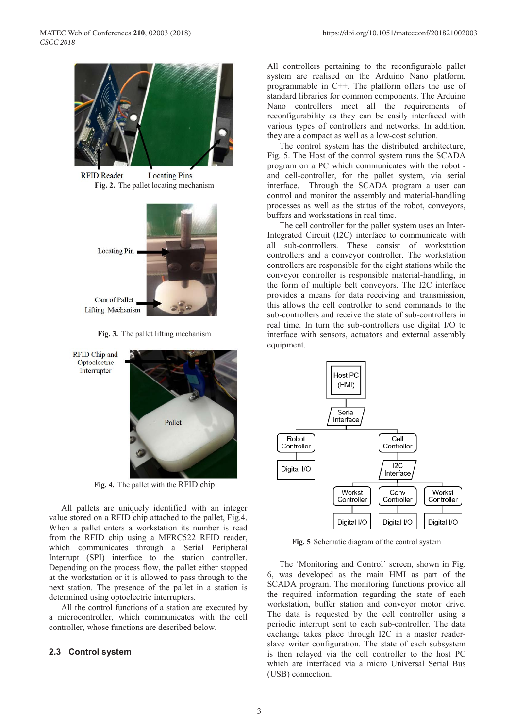

**RFID Reader Locating Pins Fig. 2.** The pallet locating mechanism



**Fig. 3.** The pallet lifting mechanism



**Fig. 4.** The pallet with the RFID chip

All pallets are uniquely identified with an integer value stored on a RFID chip attached to the pallet, Fig.4. When a pallet enters a workstation its number is read from the RFID chip using a MFRC522 RFID reader, which communicates through a Serial Peripheral Interrupt (SPI) interface to the station controller. Depending on the process flow, the pallet either stopped at the workstation or it is allowed to pass through to the next station. The presence of the pallet in a station is determined using optoelectric interrupters.

All the control functions of a station are executed by a microcontroller, which communicates with the cell controller, whose functions are described below.

#### **2.3 Control system**

All controllers pertaining to the reconfigurable pallet system are realised on the Arduino Nano platform, programmable in C++. The platform offers the use of standard libraries for common components. The Arduino Nano controllers meet all the requirements of reconfigurability as they can be easily interfaced with various types of controllers and networks. In addition, they are a compact as well as a low-cost solution.

The control system has the distributed architecture, Fig. 5. The Host of the control system runs the SCADA program on a PC which communicates with the robot and cell-controller, for the pallet system, via serial interface. Through the SCADA program a user can control and monitor the assembly and material-handling processes as well as the status of the robot, conveyors, buffers and workstations in real time.

The cell controller for the pallet system uses an Inter-Integrated Circuit (I2C) interface to communicate with all sub-controllers. These consist of workstation controllers and a conveyor controller. The workstation controllers are responsible for the eight stations while the conveyor controller is responsible material-handling, in the form of multiple belt conveyors. The I2C interface provides a means for data receiving and transmission, this allows the cell controller to send commands to the sub-controllers and receive the state of sub-controllers in real time. In turn the sub-controllers use digital I/O to interface with sensors, actuators and external assembly equipment.



**Fig. 5** Schematic diagram of the control system

The 'Monitoring and Control' screen, shown in Fig. 6, was developed as the main HMI as part of the SCADA program. The monitoring functions provide all the required information regarding the state of each workstation, buffer station and conveyor motor drive. The data is requested by the cell controller using a periodic interrupt sent to each sub-controller. The data exchange takes place through I2C in a master readerslave writer configuration. The state of each subsystem is then relayed via the cell controller to the host PC which are interfaced via a micro Universal Serial Bus (USB) connection.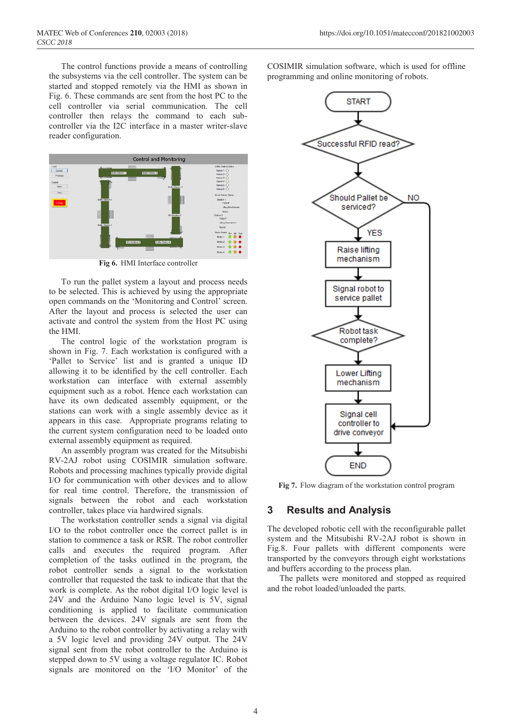The control functions provide a means of controlling the subsystems via the cell controller. The system can be started and stopped remotely via the HMI as shown in Fig. 6. These commands are sent from the host PC to the cell controller via serial communication. The cell controller then relays the command to each subcontroller via the I2C interface in a master writer-slave reader configuration.



**Fig 6.** HMI Interface controller

To run the pallet system a layout and process needs to be selected. This is achieved by using the appropriate open commands on the 'Monitoring and Control' screen. After the layout and process is selected the user can activate and control the system from the Host PC using the HMI.

The control logic of the workstation program is shown in Fig. 7. Each workstation is configured with a 'Pallet to Service' list and is granted a unique ID allowing it to be identified by the cell controller. Each workstation can interface with external assembly equipment such as a robot. Hence each workstation can have its own dedicated assembly equipment, or the stations can work with a single assembly device as it appears in this case. Appropriate programs relating to the current system configuration need to be loaded onto external assembly equipment as required.

An assembly program was created for the Mitsubishi RV-2AJ robot using COSIMIR simulation software. Robots and processing machines typically provide digital I/O for communication with other devices and to allow for real time control. Therefore, the transmission of signals between the robot and each workstation controller, takes place via hardwired signals.

The workstation controller sends a signal via digital I/O to the robot controller once the correct pallet is in station to commence a task or RSR. The robot controller calls and executes the required program. After completion of the tasks outlined in the program, the robot controller sends a signal to the workstation controller that requested the task to indicate that that the work is complete. As the robot digital I/O logic level is 24V and the Arduino Nano logic level is 5V, signal conditioning is applied to facilitate communication between the devices. 24V signals are sent from the Arduino to the robot controller by activating a relay with a 5V logic level and providing 24V output. The 24V signal sent from the robot controller to the Arduino is stepped down to 5V using a voltage regulator IC. Robot signals are monitored on the 'I/O Monitor' of the

COSIMIR simulation software, which is used for offline programming and online monitoring of robots.



**Fig 7.** Flow diagram of the workstation control program

### **3 Results and Analysis**

The developed robotic cell with the reconfigurable pallet system and the Mitsubishi RV-2AJ robot is shown in Fig.8. Four pallets with different components were transported by the conveyors through eight workstations and buffers according to the process plan.

The pallets were monitored and stopped as required and the robot loaded/unloaded the parts.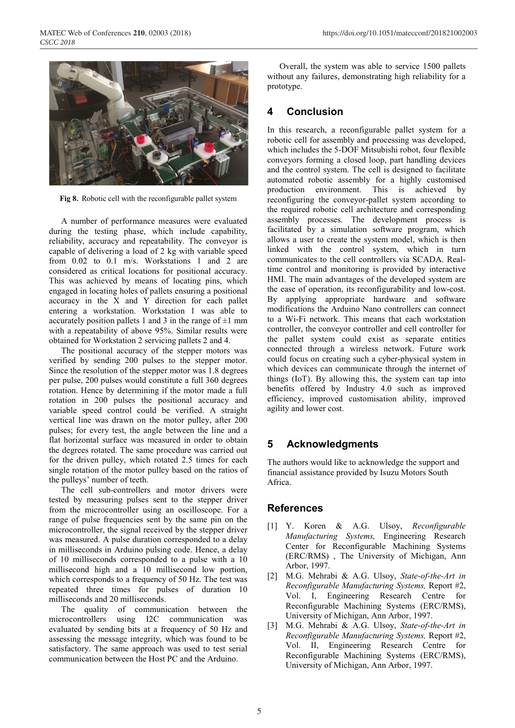

**Fig 8.** Robotic cell with the reconfigurable pallet system

A number of performance measures were evaluated during the testing phase, which include capability, reliability, accuracy and repeatability. The conveyor is capable of delivering a load of 2 kg with variable speed from 0.02 to 0.1 m/s. Workstations 1 and 2 are considered as critical locations for positional accuracy. This was achieved by means of locating pins, which engaged in locating holes of pallets ensuring a positional accuracy in the X and Y direction for each pallet entering a workstation. Workstation 1 was able to accurately position pallets 1 and 3 in the range of  $\pm 1$  mm with a repeatability of above 95%. Similar results were obtained for Workstation 2 servicing pallets 2 and 4.

The positional accuracy of the stepper motors was verified by sending 200 pulses to the stepper motor. Since the resolution of the stepper motor was 1.8 degrees per pulse, 200 pulses would constitute a full 360 degrees rotation. Hence by determining if the motor made a full rotation in 200 pulses the positional accuracy and variable speed control could be verified. A straight vertical line was drawn on the motor pulley, after 200 pulses; for every test, the angle between the line and a flat horizontal surface was measured in order to obtain the degrees rotated. The same procedure was carried out for the driven pulley, which rotated 2.5 times for each single rotation of the motor pulley based on the ratios of the pulleys' number of teeth.

The cell sub-controllers and motor drivers were tested by measuring pulses sent to the stepper driver from the microcontroller using an oscilloscope. For a range of pulse frequencies sent by the same pin on the microcontroller, the signal received by the stepper driver was measured. A pulse duration corresponded to a delay in milliseconds in Arduino pulsing code. Hence, a delay of 10 milliseconds corresponded to a pulse with a 10 millisecond high and a 10 millisecond low portion, which corresponds to a frequency of 50 Hz. The test was repeated three times for pulses of duration 10 milliseconds and 20 milliseconds.

The quality of communication between the microcontrollers using I2C communication was evaluated by sending bits at a frequency of 50 Hz and assessing the message integrity, which was found to be satisfactory. The same approach was used to test serial communication between the Host PC and the Arduino.

Overall, the system was able to service 1500 pallets without any failures, demonstrating high reliability for a prototype.

# **4 Conclusion**

In this research, a reconfigurable pallet system for a robotic cell for assembly and processing was developed, which includes the 5-DOF Mitsubishi robot, four flexible conveyors forming a closed loop, part handling devices and the control system. The cell is designed to facilitate automated robotic assembly for a highly customised production environment. This is achieved by reconfiguring the conveyor-pallet system according to the required robotic cell architecture and corresponding assembly processes. The development process is facilitated by a simulation software program, which allows a user to create the system model, which is then linked with the control system, which in turn communicates to the cell controllers via SCADA. Realtime control and monitoring is provided by interactive HMI. The main advantages of the developed system are the ease of operation, its reconfigurability and low-cost. By applying appropriate hardware and software modifications the Arduino Nano controllers can connect to a Wi-Fi network. This means that each workstation controller, the conveyor controller and cell controller for the pallet system could exist as separate entities connected through a wireless network. Future work could focus on creating such a cyber-physical system in which devices can communicate through the internet of things (IoT). By allowing this, the system can tap into benefits offered by Industry 4.0 such as improved efficiency, improved customisation ability, improved agility and lower cost.

# **5 Acknowledgments**

The authors would like to acknowledge the support and financial assistance provided by Isuzu Motors South Africa.

# **References**

- [1] Y. Koren & A.G. Ulsoy, *Reconfigurable Manufacturing Systems,* Engineering Research Center for Reconfigurable Machining Systems (ERC/RMS) , The University of Michigan, Ann Arbor, 1997.
- [2] M.G. Mehrabi & A.G. Ulsoy, *State-of-the-Art in Reconfigurable Manufacturing Systems,* Report #2, Vol. I, Engineering Research Centre for Reconfigurable Machining Systems (ERC/RMS), University of Michigan, Ann Arbor, 1997.
- [3] M.G. Mehrabi & A.G. Ulsoy, *State-of-the-Art in Reconfigurable Manufacturing Systems,* Report #2, Vol. II, Engineering Research Centre for Reconfigurable Machining Systems (ERC/RMS), University of Michigan, Ann Arbor, 1997.